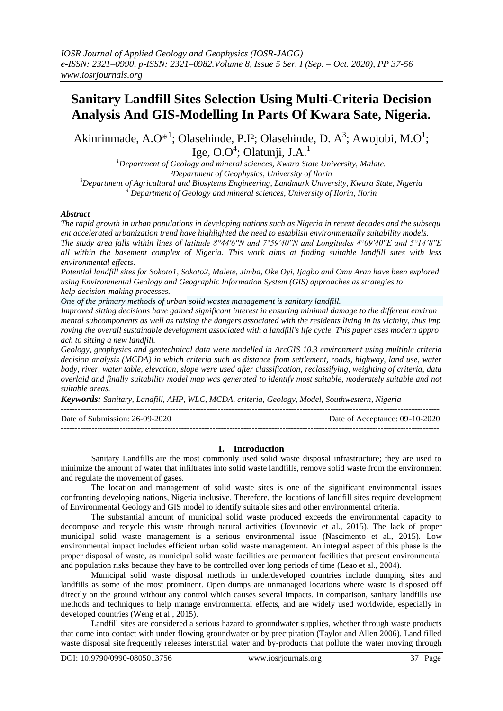# **Sanitary Landfill Sites Selection Using Multi-Criteria Decision Analysis And GIS-Modelling In Parts Of Kwara Sate, Nigeria.**

Akinrinmade, A.O\*<sup>1</sup>; Olasehinde, P.I<sup>2</sup>; Olasehinde, D. A<sup>3</sup>; Awojobi, M.O<sup>1</sup>; Ige, O.O $4$ ; Olatunji, J.A. $^1$ 

*Department of Geology and mineral sciences, Kwara State University, Malate. ²Department of Geophysics, University of Ilorin Department of Agricultural and Biosytems Engineering, Landmark University, Kwara State, Nigeria Department of Geology and mineral sciences, University of Ilorin, Ilorin*

#### *Abstract*

The rapid growth in urban populations in developing nations such as Nigeria in recent decades and the subsequ *ent accelerated urbanization trend have highlighted the need to establish environmentally suitability models. The study area falls within lines of latitude 8°44'6''N and 7°59'40''N and Longitudes 4°09'40''E and 5°14'8''E all within the basement complex of Nigeria. This work aims at finding suitable landfill sites with less environmental effects.* 

Potential landfill sites for Sokoto1, Sokoto2, Malete, Jimba, Oke Oyi, Ijagbo and Omu Aran have been explored *using Environmental Geology and Geographic Information System (GIS) approaches as strategies to help decision-making processes.*

*One of the primary methods of urban solid wastes management is sanitary landfill.*

*Improved sitting decisions have gained significant interest in ensuring minimal damage to the different environ* mental subcomponents as well as raising the dangers associated with the residents living in its vicinity, thus imp *roving the overall sustainable development associated with a landfill's life cycle. This paper uses modern appro ach to sitting a new landfill.*

*Geology, geophysics and geotechnical data were modelled in ArcGIS 10.3 environment using multiple criteria decision analysis (MCDA) in which criteria such as distance from settlement, roads, highway, land use, water body, river, water table, elevation, slope were used after classification, reclassifying, weighting of criteria, data overlaid and finally suitability model map was generated to identify most suitable, moderately suitable and not suitable areas.* 

*Keywords: Sanitary, Landfill, AHP, WLC, MCDA, criteria, Geology, Model, Southwestern, Nigeria*

| Date of Submission: 26-09-2020 | Date of Acceptance: 09-10-2020 |
|--------------------------------|--------------------------------|
|                                |                                |

## **I. Introduction**

Sanitary Landfills are the most commonly used solid waste disposal infrastructure; they are used to minimize the amount of water that infiltrates into solid waste landfills, remove solid waste from the environment and regulate the movement of gases.

The location and management of solid waste sites is one of the significant environmental issues confronting developing nations, Nigeria inclusive. Therefore, the locations of landfill sites require development of Environmental Geology and GIS model to identify suitable sites and other environmental criteria.

The substantial amount of municipal solid waste produced exceeds the environmental capacity to decompose and recycle this waste through natural activities (Jovanovic et al., 2015). The lack of proper municipal solid waste management is a serious environmental issue (Nascimento et al., 2015). Low environmental impact includes efficient urban solid waste management. An integral aspect of this phase is the proper disposal of waste, as municipal solid waste facilities are permanent facilities that present environmental and population risks because they have to be controlled over long periods of time (Leao et al., 2004).

Municipal solid waste disposal methods in underdeveloped countries include dumping sites and landfills as some of the most prominent. Open dumps are unmanaged locations where waste is disposed off directly on the ground without any control which causes several impacts. In comparison, sanitary landfills use methods and techniques to help manage environmental effects, and are widely used worldwide, especially in developed countries (Weng et al., 2015).

Landfill sites are considered a serious hazard to groundwater supplies, whether through waste products that come into contact with under flowing groundwater or by precipitation (Taylor and Allen 2006). Land filled waste disposal site frequently releases interstitial water and by-products that pollute the water moving through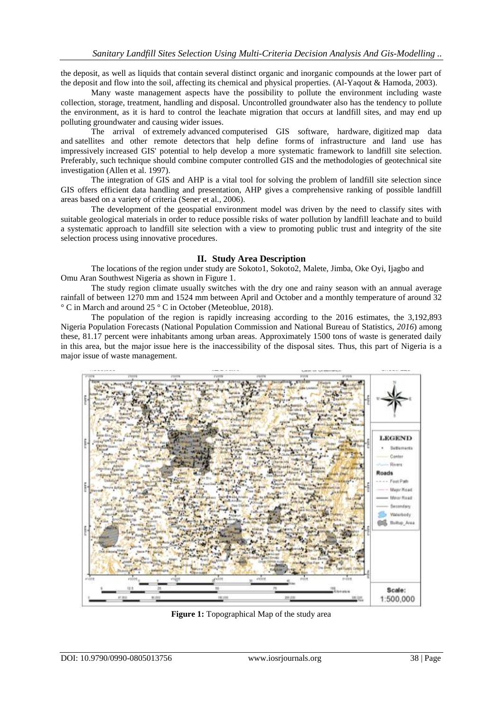the deposit, as well as liquids that contain several distinct organic and inorganic compounds at the lower part of the deposit and flow into the soil, affecting its chemical and physical properties. (Al-Yaqout & Hamoda, 2003).

Many waste management aspects have the possibility to pollute the environment including waste collection, storage, treatment, handling and disposal. Uncontrolled groundwater also has the tendency to pollute the environment, as it is hard to control the leachate migration that occurs at landfill sites, and may end up polluting groundwater and causing wider issues.

The arrival of extremely advanced computerised GIS software, hardware, digitized map data and satellites and other remote detectors that help define forms of infrastructure and land use has impressively increased GIS' potential to help develop a more systematic framework to landfill site selection. Preferably, such technique should combine computer controlled GIS and the methodologies of geotechnical site investigation (Allen et al. 1997).

The integration of GIS and AHP is a vital tool for solving the problem of landfill site selection since GIS offers efficient data handling and presentation, AHP gives a comprehensive ranking of possible landfill areas based on a variety of criteria (Sener et al., 2006).

The development of the geospatial environment model was driven by the need to classify sites with suitable geological materials in order to reduce possible risks of water pollution by landfill leachate and to build a systematic approach to landfill site selection with a view to promoting public trust and integrity of the site selection process using innovative procedures.

## **II. Study Area Description**

The locations of the region under study are Sokoto1, Sokoto2, Malete, Jimba, Oke Oyi, Ijagbo and Omu Aran Southwest Nigeria as shown in Figure 1.

The study region climate usually switches with the dry one and rainy season with an annual average rainfall of between 1270 mm and 1524 mm between April and October and a monthly temperature of around 32 ° C in March and around 25 ° C in October (Meteoblue, 2018).

The population of the region is rapidly increasing according to the 2016 estimates, the 3,192,893 Nigeria Population Forecasts (National Population Commission and National Bureau of Statistics, *2016*) among these, 81.17 percent were inhabitants among urban areas. Approximately 1500 tons of waste is generated daily in this area, but the major issue here is the inaccessibility of the disposal sites. Thus, this part of Nigeria is a major issue of waste management.



**Figure 1:** Topographical Map of the study area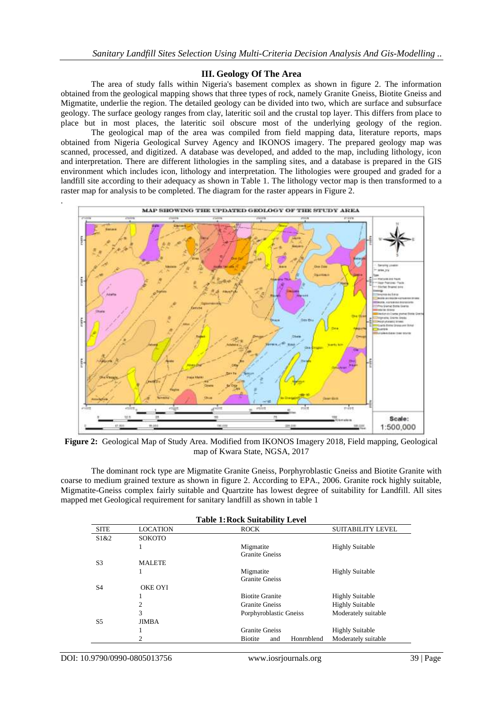### **III. Geology Of The Area**

The area of study falls within Nigeria's basement complex as shown in figure 2. The information obtained from the geological mapping shows that three types of rock, namely Granite Gneiss, Biotite Gneiss and Migmatite, underlie the region. The detailed geology can be divided into two, which are surface and subsurface geology. The surface geology ranges from clay, lateritic soil and the crustal top layer. This differs from place to place but in most places, the lateritic soil obscure most of the underlying geology of the region.

The geological map of the area was compiled from field mapping data, literature reports, maps obtained from Nigeria Geological Survey Agency and IKONOS imagery. The prepared geology map was scanned, processed, and digitized. A database was developed, and added to the map, including lithology, icon and interpretation. There are different lithologies in the sampling sites, and a database is prepared in the GIS environment which includes icon, lithology and interpretation. The lithologies were grouped and graded for a landfill site according to their adequacy as shown in Table 1. The lithology vector map is then transformed to a raster map for analysis to be completed. The diagram for the raster appears in Figure 2.



**Figure 2:** Geological Map of Study Area. Modified from IKONOS Imagery 2018, Field mapping, Geological map of Kwara State, NGSA, 2017

The dominant rock type are Migmatite Granite Gneiss, Porphyroblastic Gneiss and Biotite Granite with coarse to medium grained texture as shown in figure 2. According to EPA., 2006. Granite rock highly suitable, Migmatite-Gneiss complex fairly suitable and Quartzite has lowest degree of suitability for Landfill. All sites mapped met Geological requirement for sanitary landfill as shown in table 1

|                |                 | <b>Table 1: Rock Suitability Level</b> |                          |
|----------------|-----------------|----------------------------------------|--------------------------|
| <b>SITE</b>    | <b>LOCATION</b> | <b>ROCK</b>                            | <b>SUITABILITY LEVEL</b> |
| S1&2           | <b>SOKOTO</b>   |                                        |                          |
|                |                 | Migmatite                              | <b>Highly Suitable</b>   |
|                |                 | <b>Granite Gneiss</b>                  |                          |
| S3             | <b>MALETE</b>   |                                        |                          |
|                |                 | Migmatite                              | <b>Highly Suitable</b>   |
|                |                 | <b>Granite Gneiss</b>                  |                          |
| S <sub>4</sub> | <b>OKE OYI</b>  |                                        |                          |
|                |                 | <b>Biotite Granite</b>                 | <b>Highly Suitable</b>   |
|                | 2               | <b>Granite Gneiss</b>                  | <b>Highly Suitable</b>   |
|                | 3               | Porphyroblastic Gneiss                 | Moderately suitable      |
| S <sub>5</sub> | <b>JIMBA</b>    |                                        |                          |
|                |                 | <b>Granite Gneiss</b>                  | <b>Highly Suitable</b>   |
|                | 2               | Honrnblend<br><b>Biotite</b><br>and    | Moderately suitable      |

.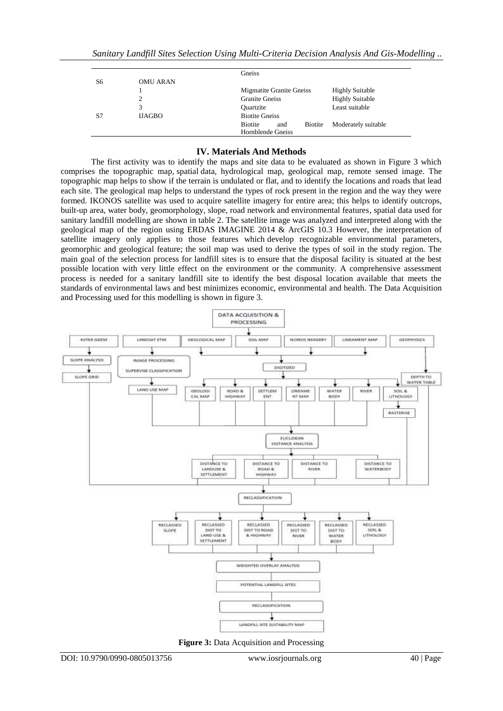|    |                 | Gneiss                                                                              |
|----|-----------------|-------------------------------------------------------------------------------------|
| S6 | <b>OMU ARAN</b> |                                                                                     |
|    |                 | <b>Migmatite Granite Gneiss</b><br><b>Highly Suitable</b>                           |
|    |                 | <b>Highly Suitable</b><br><b>Granite Gneiss</b>                                     |
|    | 3               | Least suitable<br><b>Ouartzite</b>                                                  |
| S7 | <b>IJAGBO</b>   | <b>Biotite Gneiss</b>                                                               |
|    |                 | <b>Biotite</b><br>Moderately suitable<br><b>Biotite</b><br>and<br>Hornblende Gneiss |

### **IV. Materials And Methods**

The first activity was to identify the maps and site data to be evaluated as shown in Figure 3 which comprises the topographic map, spatial data, hydrological map, geological map, remote sensed image. The topographic map helps to show if the terrain is undulated or flat, and to identify the locations and roads that lead each site. The geological map helps to understand the types of rock present in the region and the way they were formed. IKONOS satellite was used to acquire satellite imagery for entire area; this helps to identify outcrops, built-up area, water body, geomorphology, slope, road network and environmental features, spatial data used for sanitary landfill modelling are shown in table 2. The satellite image was analyzed and interpreted along with the geological map of the region using ERDAS IMAGINE 2014 & ArcGIS 10.3 However, the interpretation of satellite imagery only applies to those features which develop recognizable environmental parameters, geomorphic and geological feature; the soil map was used to derive the types of soil in the study region. The main goal of the selection process for landfill sites is to ensure that the disposal facility is situated at the best possible location with very little effect on the environment or the community. A comprehensive assessment process is needed for a sanitary landfill site to identify the best disposal location available that meets the standards of environmental laws and best minimizes economic, environmental and health. The Data Acquisition and Processing used for this modelling is shown in figure 3.



**Figure 3:** Data Acquisition and Processing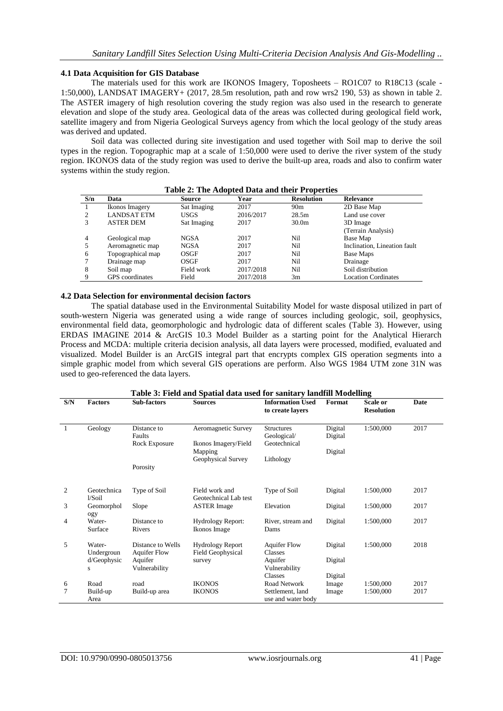### **4.1 Data Acquisition for GIS Database**

The materials used for this work are IKONOS Imagery, Toposheets – RO1C07 to R18C13 (scale - 1:50,000), LANDSAT IMAGERY+ (2017, 28.5m resolution, path and row wrs2 190, 53) as shown in table 2. The ASTER imagery of high resolution covering the study region was also used in the research to generate elevation and slope of the study area. Geological data of the areas was collected during geological field work, satellite imagery and from Nigeria Geological Surveys agency from which the local geology of the study areas was derived and updated.

Soil data was collected during site investigation and used together with Soil map to derive the soil types in the region. Topographic map at a scale of 1:50,000 were used to derive the river system of the study region. IKONOS data of the study region was used to derive the built-up area, roads and also to confirm water systems within the study region.

| S/n | Data                   | Source      | Year      | <b>Resolution</b> | <b>Relevance</b>             |
|-----|------------------------|-------------|-----------|-------------------|------------------------------|
|     | Ikonos Imagery         | Sat Imaging | 2017      | 90 <sub>m</sub>   | 2D Base Map                  |
|     | <b>LANDSAT ETM</b>     | USGS        | 2016/2017 | 28.5m             | Land use cover               |
|     | <b>ASTER DEM</b>       | Sat Imaging | 2017      | 30.0 <sub>m</sub> | 3D Image                     |
|     |                        |             |           |                   | (Terrain Analysis)           |
| 4   | Geological map         | <b>NGSA</b> | 2017      | Ni1               | Base Map                     |
|     | Aeromagnetic map       | <b>NGSA</b> | 2017      | Ni1               | Inclination, Lineation fault |
| 6   | Topographical map      | OSGF        | 2017      | Ni1               | Base Maps                    |
|     | Drainage map           | OSGF        | 2017      | Ni1               | Drainage                     |
| 8   | Soil map               | Field work  | 2017/2018 | Nil               | Soil distribution            |
|     | <b>GPS</b> coordinates | Field       | 2017/2018 | 3m                | <b>Location Cordinates</b>   |

#### **Table 2: The Adopted Data and their Properties**

#### **4.2 Data Selection for environmental decision factors**

The spatial database used in the Environmental Suitability Model for waste disposal utilized in part of south-western Nigeria was generated using a wide range of sources including geologic, soil, geophysics, environmental field data, geomorphologic and hydrologic data of different scales (Table 3). However, using ERDAS IMAGINE 2014 & ArcGIS 10.3 Model Builder as a starting point for the Analytical Hierarch Process and MCDA: multiple criteria decision analysis, all data layers were processed, modified, evaluated and visualized. Model Builder is an ArcGIS integral part that encrypts complex GIS operation segments into a simple graphic model from which several GIS operations are perform. Also WGS 1984 UTM zone 31N was used to geo-referenced the data layers.

|                | Table 3: Field and Spatial data used for sanitary landfill Modelling |                                          |                                                     |                                                  |                    |                               |      |
|----------------|----------------------------------------------------------------------|------------------------------------------|-----------------------------------------------------|--------------------------------------------------|--------------------|-------------------------------|------|
| S/N            | <b>Factors</b>                                                       | Sub-factors                              | <b>Sources</b>                                      | <b>Information Used</b><br>to create layers      | Format             | Scale or<br><b>Resolution</b> | Date |
| $\overline{1}$ | Geology                                                              | Distance to<br>Faults<br>Rock Exposure   | Aeromagnetic Survey<br>Ikonos Imagery/Field         | <b>Structures</b><br>Geological/<br>Geotechnical | Digital<br>Digital | 1:500,000                     | 2017 |
|                |                                                                      |                                          | Mapping                                             |                                                  | Digital            |                               |      |
|                |                                                                      | Porosity                                 | Geophysical Survey                                  | Lithology                                        |                    |                               |      |
| 2              | Geotechnica<br>$1/S$ oil                                             | Type of Soil                             | Field work and<br>Geotechnical Lab test             | Type of Soil                                     | Digital            | 1:500,000                     | 2017 |
| 3              | Geomorphol<br>ogy                                                    | Slope                                    | <b>ASTER Image</b>                                  | Elevation                                        | Digital            | 1:500,000                     | 2017 |
| 4              | Water-<br>Surface                                                    | Distance to<br>Rivers                    | <b>Hydrology Report:</b><br>Ikonos Image            | River, stream and<br>Dams                        | Digital            | 1:500,000                     | 2017 |
| 5              | Water-<br>Undergroun                                                 | Distance to Wells<br><b>Aquifer Flow</b> | <b>Hydrology Report</b><br><b>Field Geophysical</b> | <b>Aquifer Flow</b><br><b>Classes</b>            | Digital            | 1:500,000                     | 2018 |
|                | d/Geophysic<br>S                                                     | Aquifer<br>Vulnerability                 | survey                                              | Aquifer<br>Vulnerability                         | Digital            |                               |      |
|                |                                                                      |                                          |                                                     | <b>Classes</b>                                   | Digital            |                               |      |
| 6              | Road                                                                 | road                                     | <b>IKONOS</b>                                       | Road Network                                     | Image              | 1:500,000                     | 2017 |
| $\overline{7}$ | Build-up<br>Area                                                     | Build-up area                            | <b>IKONOS</b>                                       | Settlement, land<br>use and water body           | Image              | 1:500,000                     | 2017 |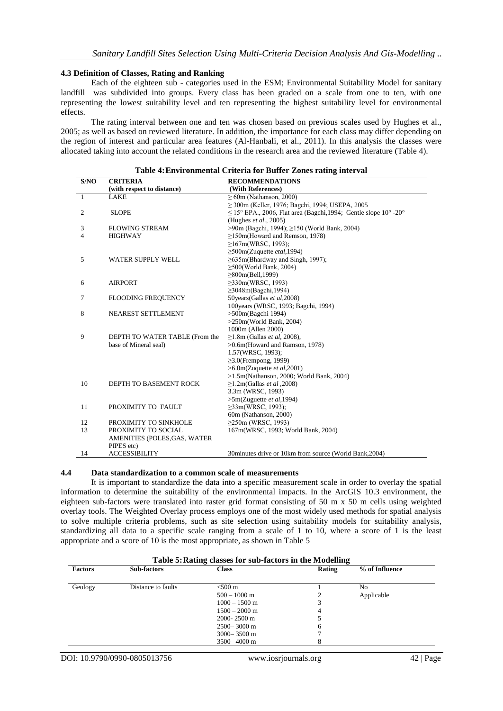### **4.3 Definition of Classes, Rating and Ranking**

Each of the eighteen sub - categories used in the ESM; Environmental Suitability Model for sanitary landfill was subdivided into groups. Every class has been graded on a scale from one to ten, with one representing the lowest suitability level and ten representing the highest suitability level for environmental effects.

The rating interval between one and ten was chosen based on previous scales used by Hughes et al., 2005; as well as based on reviewed literature. In addition, the importance for each class may differ depending on the region of interest and particular area features (Al-Hanbali, et al., 2011). In this analysis the classes were allocated taking into account the related conditions in the research area and the reviewed literature (Table 4).

|      |                                | radio 4. Environmental Criteria for Duffer Zones rating meet van      |
|------|--------------------------------|-----------------------------------------------------------------------|
| S/NO | <b>CRITERIA</b>                | <b>RECOMMENDATIONS</b>                                                |
|      | (with respect to distance)     | (With References)                                                     |
| 1    | <b>LAKE</b>                    | $> 60$ m (Nathanson, 2000)                                            |
|      |                                | $\geq$ 300m (Keller, 1976; Bagchi, 1994; USEPA, 2005                  |
| 2    | <b>SLOPE</b>                   | $\leq$ 15° EPA., 2006, Flat area (Bagchi, 1994; Gentle slope 10° -20° |
|      |                                | (Hughes et al., 2005)                                                 |
| 3    | <b>FLOWING STREAM</b>          | >90m (Bagchi, 1994); ≥150 (World Bank, 2004)                          |
| 4    | <b>HIGHWAY</b>                 | $\geq$ 150m(Howard and Remson, 1978)                                  |
|      |                                | $\geq$ 167m(WRSC, 1993);                                              |
|      |                                | $\geq$ 500m(Zuquette <i>etal</i> ,1994)                               |
| 5    | <b>WATER SUPPLY WELL</b>       | $\geq$ 635m(Bhardway and Singh, 1997);                                |
|      |                                | $\geq$ 500(World Bank, 2004)                                          |
|      |                                | $\geq 800$ m(Bell, 1999)                                              |
| 6    | <b>AIRPORT</b>                 | $\geq$ 330m(WRSC, 1993)                                               |
|      |                                | $\geq$ 3048m(Bagchi, 1994)                                            |
| 7    | <b>FLOODING FREQUENCY</b>      | 50years(Gallas et al,2008)                                            |
|      |                                | 100 years (WRSC, 1993; Bagchi, 1994)                                  |
| 8    | NEAREST SETTLEMENT             | $>500$ m(Bagchi 1994)                                                 |
|      |                                | $>250$ m(World Bank, 2004)                                            |
|      |                                | 1000m (Allen 2000)                                                    |
| 9    | DEPTH TO WATER TABLE (From the | $\geq$ 1.8m (Gallas <i>et al</i> , 2008),                             |
|      | base of Mineral seal)          | >0.6m(Howard and Ramson, 1978)                                        |
|      |                                | 1.57(WRSC, 1993);                                                     |
|      |                                | $\geq$ 3.0(Frempong, 1999)                                            |
|      |                                | $>6.0$ m(Zuquette et al, 2001)                                        |
|      |                                | $>1.5$ m(Nathanson, 2000; World Bank, 2004)                           |
| 10   | DEPTH TO BASEMENT ROCK         | $\geq$ 1.2m(Gallas <i>et al</i> ,2008)                                |
|      |                                | 3.3m (WRSC, 1993)                                                     |
|      |                                | $>5m(Zu$ guette et al, 1994)                                          |
| 11   | PROXIMITY TO FAULT             | $\geq$ 33m(WRSC, 1993);                                               |
|      |                                | 60m (Nathanson, 2000)                                                 |
| 12   | PROXIMITY TO SINKHOLE          | $\geq$ 250m (WRSC, 1993)                                              |
| 13   | PROXIMITY TO SOCIAL            | 167m(WRSC, 1993; World Bank, 2004)                                    |
|      | AMENITIES (POLES, GAS, WATER   |                                                                       |
|      | PIPES etc)                     |                                                                       |
| 14   | <b>ACCESSIBILITY</b>           | 30 minutes drive or 10 km from source (World Bank, 2004)              |

### **Table 4:Environmental Criteria for Buffer Zones rating interval**

## **4.4 Data standardization to a common scale of measurements**

It is important to standardize the data into a specific measurement scale in order to overlay the spatial information to determine the suitability of the environmental impacts. In the ArcGIS 10.3 environment, the eighteen sub-factors were translated into raster grid format consisting of 50 m x 50 m cells using weighted overlay tools. The Weighted Overlay process employs one of the most widely used methods for spatial analysis to solve multiple criteria problems, such as site selection using suitability models for suitability analysis, standardizing all data to a specific scale ranging from a scale of 1 to 10, where a score of 1 is the least appropriate and a score of 10 is the most appropriate, as shown in Table 5

|                | Table 5: Rating classes for sub-factors in the Modelling |                   |        |                |  |
|----------------|----------------------------------------------------------|-------------------|--------|----------------|--|
| <b>Factors</b> | <b>Sub-factors</b>                                       | <b>Class</b>      | Rating | % of Influence |  |
| Geology        | Distance to faults                                       | $< 500 \text{ m}$ |        | No             |  |
|                |                                                          | $500 - 1000$ m    |        | Applicable     |  |
|                |                                                          | $1000 - 1500$ m   |        |                |  |
|                |                                                          | $1500 - 2000$ m   |        |                |  |
|                |                                                          | $2000 - 2500$ m   |        |                |  |
|                |                                                          | $2500 - 3000$ m   | 6      |                |  |
|                |                                                          | $3000 - 3500$ m   |        |                |  |
|                |                                                          | $3500 - 4000$ m   | 8      |                |  |

#### **Table 5:Rating classes for sub-factors in the Modelling**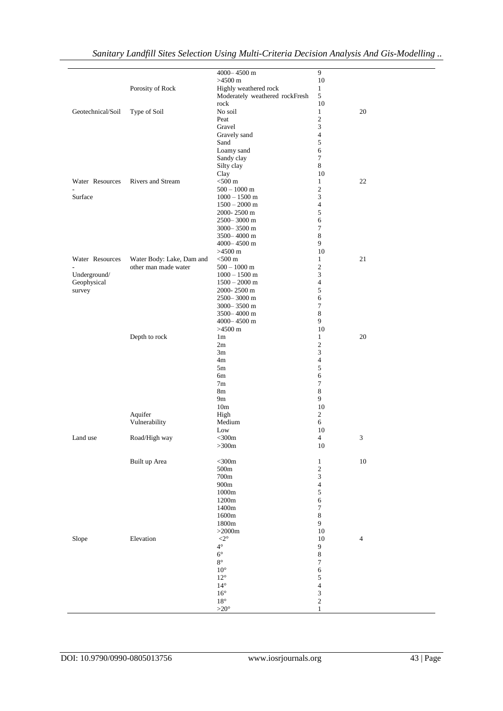|                   |                           | 4000-4500 m                    | 9                |            |
|-------------------|---------------------------|--------------------------------|------------------|------------|
|                   |                           | $>4500$ m                      | 10               |            |
|                   | Porosity of Rock          | Highly weathered rock          | $\mathbf{1}$     |            |
|                   |                           | Moderately weathered rockFresh | 5                |            |
|                   |                           | rock                           | 10               |            |
| Geotechnical/Soil | Type of Soil              | No soil                        | $\mathbf{1}$     | 20         |
|                   |                           | Peat                           | $\mathfrak{2}$   |            |
|                   |                           | Gravel                         | 3                |            |
|                   |                           | Gravely sand                   | $\overline{4}$   |            |
|                   |                           |                                | 5                |            |
|                   |                           | Sand                           |                  |            |
|                   |                           | Loamy sand                     | 6                |            |
|                   |                           | Sandy clay                     | $\tau$           |            |
|                   |                           | Silty clay                     | $\,8\,$          |            |
|                   |                           | Clay                           | 10               |            |
| Water Resources   | Rivers and Stream         | $<$ 500 $m$                    | $\mathbf{1}$     | 22         |
|                   |                           | $500 - 1000$ m                 | $\mathfrak{2}$   |            |
| Surface           |                           | $1000 - 1500$ m                | 3                |            |
|                   |                           | $1500 - 2000$ m                | $\overline{4}$   |            |
|                   |                           | 2000-2500 m                    | 5                |            |
|                   |                           | 2500-3000 m                    | 6                |            |
|                   |                           |                                |                  |            |
|                   |                           | 3000-3500 m                    | 7                |            |
|                   |                           | 3500-4000 m                    | $\,8$            |            |
|                   |                           | 4000-4500 m                    | 9                |            |
|                   |                           | $>4500 \text{ m}$              | 10               |            |
| Water Resources   | Water Body: Lake, Dam and | $<$ 500 $m$                    | $\mathbf{1}$     | 21         |
|                   | other man made water      | $500 - 1000$ m                 | $\boldsymbol{2}$ |            |
| Underground/      |                           | $1000 - 1500$ m                | 3                |            |
| Geophysical       |                           | $1500 - 2000$ m                | $\overline{4}$   |            |
| survey            |                           | 2000-2500 m                    | 5                |            |
|                   |                           |                                |                  |            |
|                   |                           | $2500 - 3000$ m                | 6                |            |
|                   |                           | $3000 - 3500$ m                | 7                |            |
|                   |                           | 3500-4000 m                    | 8                |            |
|                   |                           | 4000-4500 m                    | 9                |            |
|                   |                           | $>4500$ m                      | 10               |            |
|                   | Depth to rock             | 1 <sub>m</sub>                 | $\mathbf{1}$     | 20         |
|                   |                           | 2m                             | $\mathfrak{2}$   |            |
|                   |                           | 3m                             | 3                |            |
|                   |                           | 4m                             | $\overline{4}$   |            |
|                   |                           | 5m                             | 5                |            |
|                   |                           |                                | 6                |            |
|                   |                           | 6m                             |                  |            |
|                   |                           | 7 <sub>m</sub>                 | 7                |            |
|                   |                           | 8 <sub>m</sub>                 | $\,8$            |            |
|                   |                           | 9m                             | 9                |            |
|                   |                           | 10 <sub>m</sub>                | 10               |            |
|                   | Aquifer                   | High                           | $\overline{2}$   |            |
|                   | Vulnerability             | Medium                         | 6                |            |
|                   |                           | Low                            | 10               |            |
| Land use          | Road/High way             | $<$ 300 $m$                    | $\overline{4}$   | 3          |
|                   |                           |                                | $10\,$           |            |
|                   |                           | $>\!\!300m$                    |                  |            |
|                   |                           |                                |                  |            |
|                   | Built up Area             | $<$ 300 $m$                    | $\mathbf{1}$     | $10\,$     |
|                   |                           | 500m                           | $\sqrt{2}$       |            |
|                   |                           | $700\mathrm{m}$                | 3                |            |
|                   |                           | 900m                           | $\overline{4}$   |            |
|                   |                           | 1000m                          | $\sqrt{5}$       |            |
|                   |                           | 1200m                          | 6                |            |
|                   |                           | 1400m                          | 7                |            |
|                   |                           | 1600m                          | $\,8$            |            |
|                   |                           | 1800m                          | 9                |            |
|                   |                           |                                |                  |            |
|                   |                           | ${>}2000m$                     | 10               |            |
| Slope             | Elevation                 | $<\!\!2^\circ$                 | 10               | $\sqrt{4}$ |
|                   |                           | $4^{\circ}$                    | $\overline{9}$   |            |
|                   |                           | $6^{\circ}$                    | $\,8\,$          |            |
|                   |                           | $8^{\circ}$                    | 7                |            |
|                   |                           | $10^{\circ}$                   | 6                |            |
|                   |                           | $12^{\circ}$                   | 5                |            |
|                   |                           | $14^{\circ}$                   | $\overline{4}$   |            |
|                   |                           | $16^{\circ}$                   |                  |            |
|                   |                           |                                | 3                |            |
|                   |                           | $18^\circ$                     | $\sqrt{2}$       |            |
|                   |                           | ${>}20^{\circ}$                | $\mathbf{1}$     |            |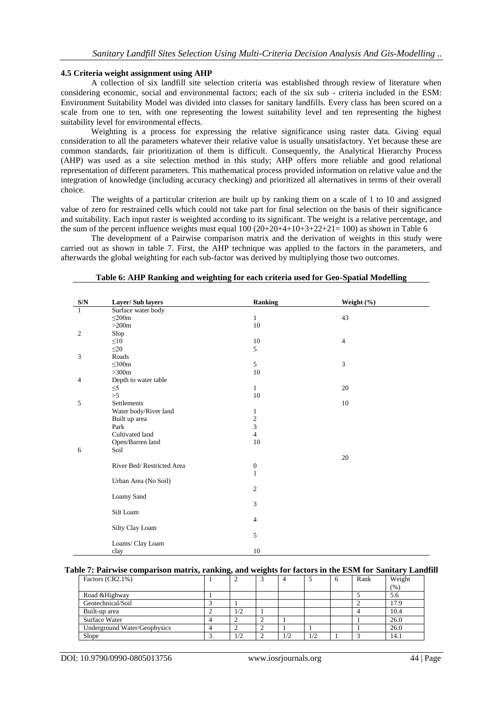#### **4.5 Criteria weight assignment using AHP**

A collection of six landfill site selection criteria was established through review of literature when considering economic, social and environmental factors; each of the six sub - criteria included in the ESM: Environment Suitability Model was divided into classes for sanitary landfills. Every class has been scored on a scale from one to ten, with one representing the lowest suitability level and ten representing the highest suitability level for environmental effects.

Weighting is a process for expressing the relative significance using raster data. Giving equal consideration to all the parameters whatever their relative value is usually unsatisfactory. Yet because these are common standards, fair prioritization of them is difficult. Consequently, the Analytical Hierarchy Process (AHP) was used as a site selection method in this study; AHP offers more reliable and good relational representation of different parameters. This mathematical process provided information on relative value and the integration of knowledge (including accuracy checking) and prioritized all alternatives in terms of their overall choice.

The weights of a particular criterion are built up by ranking them on a scale of 1 to 10 and assigned value of zero for restrained cells which could not take part for final selection on the basis of their significance and suitability. Each input raster is weighted according to its significant. The weight is a relative percentage, and the sum of the percent influence weights must equal  $100 (20+20+4+10+3+22+21= 100)$  as shown in Table 6

The development of a Pairwise comparison matrix and the derivation of weights in this study were carried out as shown in table 7. First, the AHP technique was applied to the factors in the parameters, and afterwards the global weighting for each sub-factor was derived by multiplying those two outcomes.

| S/N          | Layer/Sub layers          | Ranking          | Weight (%) |  |
|--------------|---------------------------|------------------|------------|--|
| $\mathbf{1}$ | Surface water body        |                  |            |  |
|              | $\leq$ 200m               | $\mathbf{1}$     | 43         |  |
|              | $>200m$                   | 10               |            |  |
| 2            | Slop                      |                  |            |  |
|              | $\leq 10$                 | 10               | 4          |  |
|              | $\leq$ 20                 | 5                |            |  |
| 3            | Roads                     |                  |            |  |
|              | $\leq 300m$               | 5                | 3          |  |
|              | >300m                     | 10               |            |  |
| 4            | Depth to water table      |                  |            |  |
|              | $\leq$ 5                  | $\mathbf{1}$     | 20         |  |
|              | >5                        | 10               |            |  |
| 5            | Settlements               |                  | 10         |  |
|              | Water body/River land     | 1                |            |  |
|              | Built up area             | $\overline{c}$   |            |  |
|              | Park                      | 3                |            |  |
|              | Cultivated land           | $\overline{4}$   |            |  |
|              | Open/Barren land          | 10               |            |  |
| 6            | Soil                      |                  |            |  |
|              |                           |                  | 20         |  |
|              | River Bed/Restricted Area | $\boldsymbol{0}$ |            |  |
|              |                           | $\mathbf{1}$     |            |  |
|              | Urban Area (No Soil)      |                  |            |  |
|              |                           | $\overline{c}$   |            |  |
|              | Loamy Sand                |                  |            |  |
|              |                           | 3                |            |  |
|              | Silt Loam                 |                  |            |  |
|              |                           | 4                |            |  |
|              | Silty Clay Loam           |                  |            |  |
|              |                           | 5                |            |  |
|              | Loams/ Clay Loam          |                  |            |  |
|              | clay                      | 10               |            |  |

#### **Table 6: AHP Ranking and weighting for each criteria used for Geo-Spatial Modelling**

### **Table 7: Pairwise comparison matrix, ranking, and weights for factors in the ESM for Sanitary Landfill**

| Factors (CR2.1%)             |     |     |     | $\sigma$ | Rank | Weight |
|------------------------------|-----|-----|-----|----------|------|--------|
|                              |     |     |     |          |      | (% )   |
| Road & Highway               |     |     |     |          |      | 5.6    |
| Geotechnical/Soil            |     |     |     |          |      | 17.9   |
| Built-up area                | 1/2 |     |     |          |      | 10.4   |
| Surface Water                |     |     |     |          |      | 26.0   |
| Underground Water/Geophysics |     |     |     |          |      | 26.0   |
| Slope                        |     | 1/2 | 1/2 |          |      | 14.1   |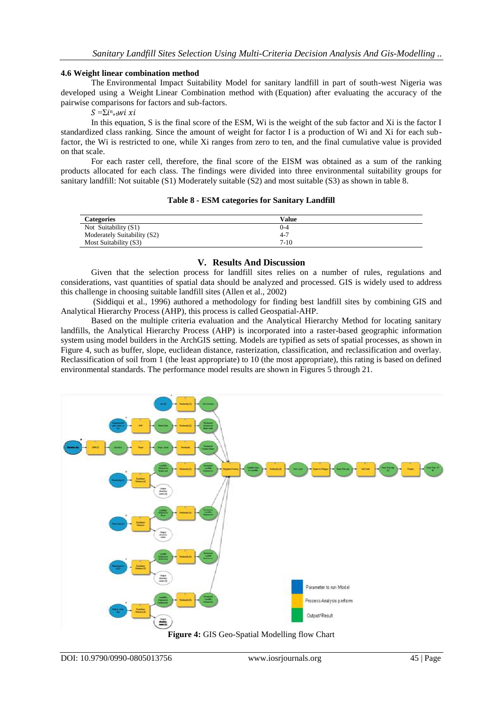### **4.6 Weight linear combination method**

The Environmental Impact Suitability Model for sanitary landfill in part of south-west Nigeria was developed using a Weight Linear Combination method with (Equation) after evaluating the accuracy of the pairwise comparisons for factors and sub-factors.

 $S = \sum i^n_{i=1}W_i x_i$ 

In this equation, S is the final score of the ESM, Wi is the weight of the sub factor and Xi is the factor I standardized class ranking. Since the amount of weight for factor I is a production of Wi and Xi for each subfactor, the Wi is restricted to one, while Xi ranges from zero to ten, and the final cumulative value is provided on that scale.

For each raster cell, therefore, the final score of the EISM was obtained as a sum of the ranking products allocated for each class. The findings were divided into three environmental suitability groups for sanitary landfill: Not suitable (S1) Moderately suitable (S2) and most suitable (S3) as shown in table 8.

| <b>Categories</b>           | Value    |
|-----------------------------|----------|
| Not Suitability (S1)        | 0-4      |
| Moderately Suitability (S2) | $4 - 7$  |
| Most Suitability (S3)       | $7 - 10$ |

## **Table 8 - ESM categories for Sanitary Landfill**

#### **V. Results And Discussion**

Given that the selection process for landfill sites relies on a number of rules, regulations and considerations, vast quantities of spatial data should be analyzed and processed. GIS is widely used to address this challenge in choosing suitable landfill sites (Allen et al., 2002)

(Siddiqui et al., 1996) authored a methodology for finding best landfill sites by combining GIS and Analytical Hierarchy Process (AHP), this process is called Geospatial-AHP.

Based on the multiple criteria evaluation and the Analytical Hierarchy Method for locating sanitary landfills, the Analytical Hierarchy Process (AHP) is incorporated into a raster-based geographic information system using model builders in the ArchGIS setting. Models are typified as sets of spatial processes, as shown in Figure 4, such as buffer, slope, euclidean distance, rasterization, classification, and reclassification and overlay. Reclassification of soil from 1 (the least appropriate) to 10 (the most appropriate), this rating is based on defined environmental standards. The performance model results are shown in Figures 5 through 21.

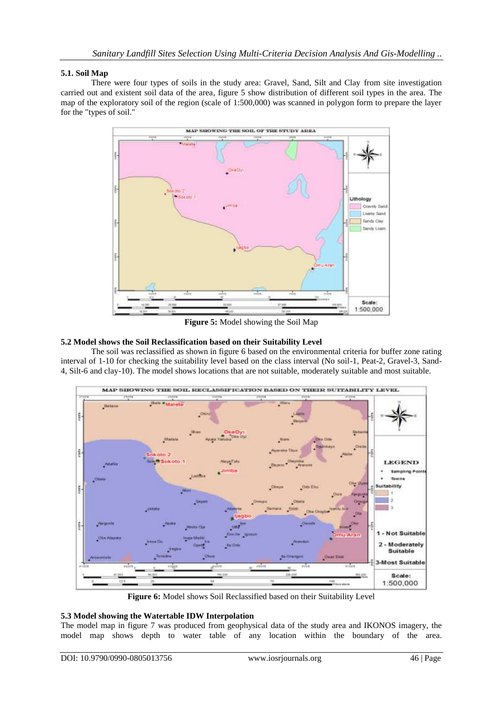## **5.1. Soil Map**

There were four types of soils in the study area: Gravel, Sand, Silt and Clay from site investigation carried out and existent soil data of the area, figure 5 show distribution of different soil types in the area. The map of the exploratory soil of the region (scale of 1:500,000) was scanned in polygon form to prepare the layer for the "types of soil."



**Figure 5:** Model showing the Soil Map

## **5.2 Model shows the Soil Reclassification based on their Suitability Level**

The soil was reclassified as shown in figure 6 based on the environmental criteria for buffer zone rating interval of 1-10 for checking the suitability level based on the class interval (No soil-1, Peat-2, Gravel-3, Sand-4, Silt-6 and clay-10). The model shows locations that are not suitable, moderately suitable and most suitable.



**Figure 6:** Model shows Soil Reclassified based on their Suitability Level

## **5.3 Model showing the Watertable IDW Interpolation**

The model map in figure 7 was produced from geophysical data of the study area and IKONOS imagery, the model map shows depth to water table of any location within the boundary of the area.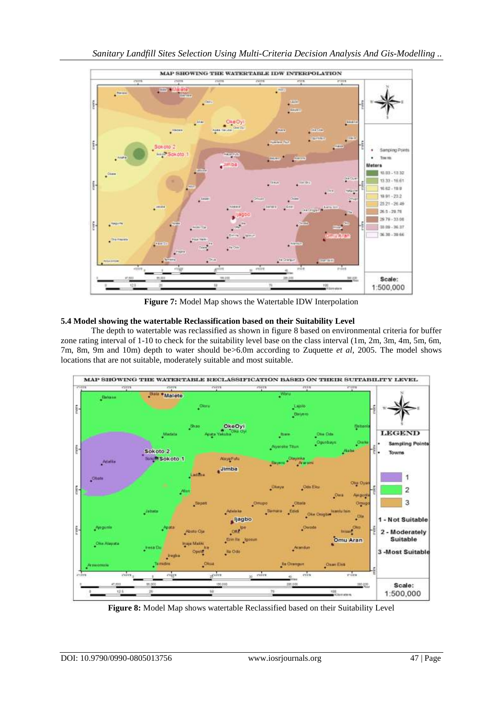

**Figure 7:** Model Map shows the Watertable IDW Interpolation

## **5.4 Model showing the watertable Reclassification based on their Suitability Level**

The depth to watertable was reclassified as shown in figure 8 based on environmental criteria for buffer zone rating interval of 1-10 to check for the suitability level base on the class interval (1m, 2m, 3m, 4m, 5m, 6m, 7m, 8m, 9m and 10m) depth to water should be>6.0m according to Zuquette *et al*, 2005. The model shows locations that are not suitable, moderately suitable and most suitable.



**Figure 8:** Model Map shows watertable Reclassified based on their Suitability Level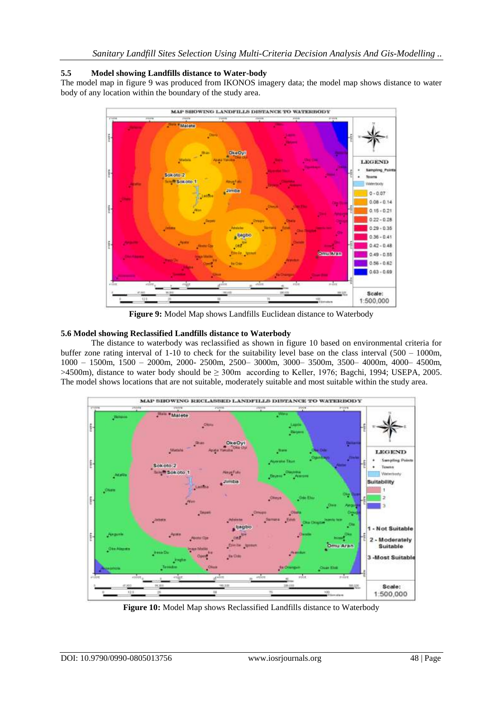## **5.5 Model showing Landfills distance to Water-body**

The model map in figure 9 was produced from IKONOS imagery data; the model map shows distance to water body of any location within the boundary of the study area.



**Figure 9:** Model Map shows Landfills Euclidean distance to Waterbody

## **5.6 Model showing Reclassified Landfills distance to Waterbody**

The distance to waterbody was reclassified as shown in figure 10 based on environmental criteria for buffer zone rating interval of 1-10 to check for the suitability level base on the class interval (500 – 1000m, 1000 – 1500m, 1500 – 2000m, 2000- 2500m, 2500– 3000m, 3000– 3500m, 3500– 4000m, 4000– 4500m, >4500m), distance to water body should be ≥ 300m according to Keller, 1976; Bagchi, 1994; USEPA, 2005. The model shows locations that are not suitable, moderately suitable and most suitable within the study area.



**Figure 10:** Model Map shows Reclassified Landfills distance to Waterbody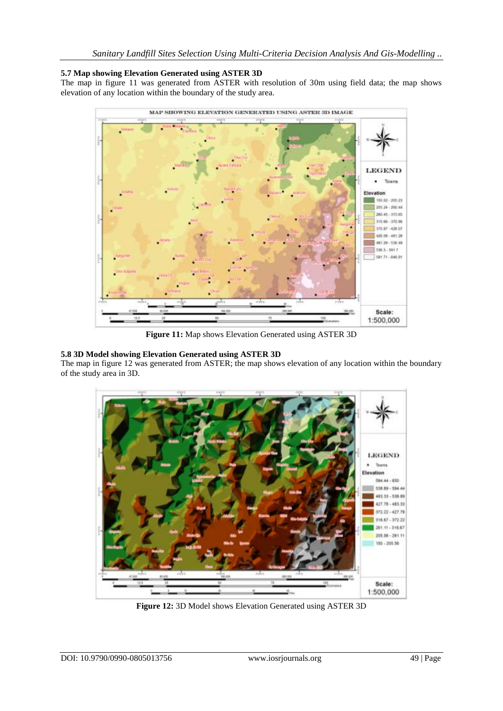## **5.7 Map showing Elevation Generated using ASTER 3D**

The map in figure 11 was generated from ASTER with resolution of 30m using field data; the map shows elevation of any location within the boundary of the study area.



**Figure 11:** Map shows Elevation Generated using ASTER 3D

## **5.8 3D Model showing Elevation Generated using ASTER 3D**

The map in figure 12 was generated from ASTER; the map shows elevation of any location within the boundary of the study area in 3D.



**Figure 12:** 3D Model shows Elevation Generated using ASTER 3D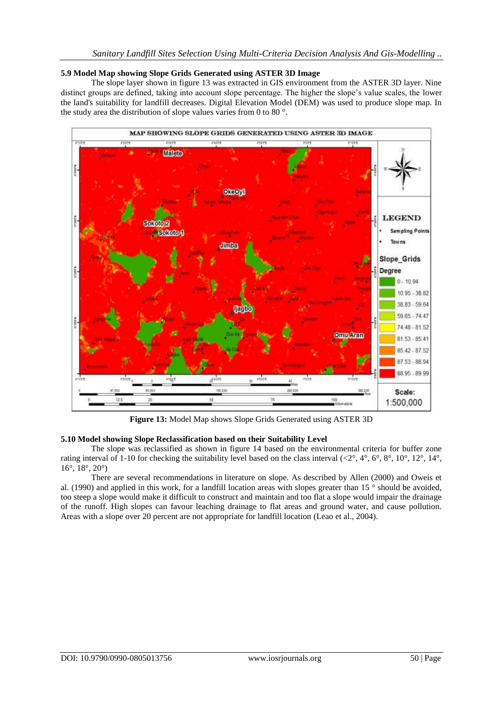### **5.9 Model Map showing Slope Grids Generated using ASTER 3D Image**

The slope layer shown in figure 13 was extracted in GIS environment from the ASTER 3D layer. Nine distinct groups are defined, taking into account slope percentage. The higher the slope's value scales, the lower the land's suitability for landfill decreases. Digital Elevation Model (DEM) was used to produce slope map. In the study area the distribution of slope values varies from 0 to 80 °.



**Figure 13:** Model Map shows Slope Grids Generated using ASTER 3D

## **5.10 Model showing Slope Reclassification based on their Suitability Level**

The slope was reclassified as shown in figure 14 based on the environmental criteria for buffer zone rating interval of 1-10 for checking the suitability level based on the class interval  $( $2^\circ$ ,  $4^\circ$ ,  $6^\circ$ ,  $8^\circ$ ,  $10^\circ$ ,  $12^\circ$ ,  $14^\circ$ ,$  $16^\circ$ ,  $18^\circ$ ,  $20^\circ$ )

There are several recommendations in literature on slope. As described by Allen (2000) and Oweis et al. (1990) and applied in this work, for a landfill location areas with slopes greater than 15 ° should be avoided, too steep a slope would make it difficult to construct and maintain and too flat a slope would impair the drainage of the runoff. High slopes can favour leaching drainage to flat areas and ground water, and cause pollution. Areas with a slope over 20 percent are not appropriate for landfill location (Leao et al., 2004).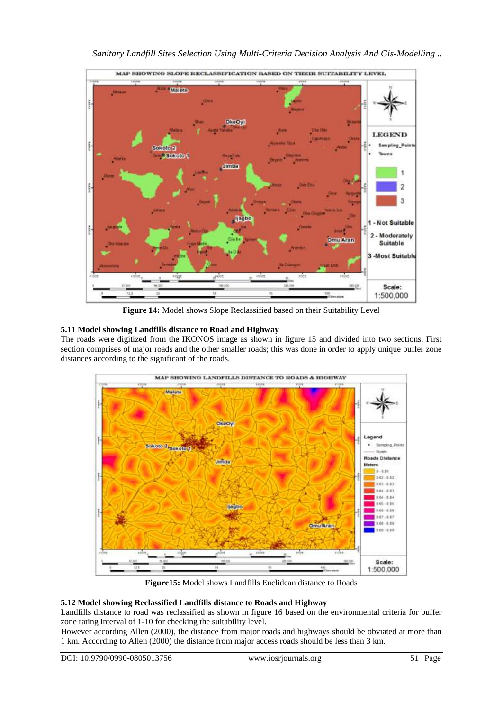

**Figure 14:** Model shows Slope Reclassified based on their Suitability Level

## **5.11 Model showing Landfills distance to Road and Highway**

The roads were digitized from the IKONOS image as shown in figure 15 and divided into two sections. First section comprises of major roads and the other smaller roads; this was done in order to apply unique buffer zone distances according to the significant of the roads.



**Figure15:** Model shows Landfills Euclidean distance to Roads

## **5.12 Model showing Reclassified Landfills distance to Roads and Highway**

Landfills distance to road was reclassified as shown in figure 16 based on the environmental criteria for buffer zone rating interval of 1-10 for checking the suitability level.

However according Allen (2000), the distance from major roads and highways should be obviated at more than 1 km. According to Allen (2000) the distance from major access roads should be less than 3 km.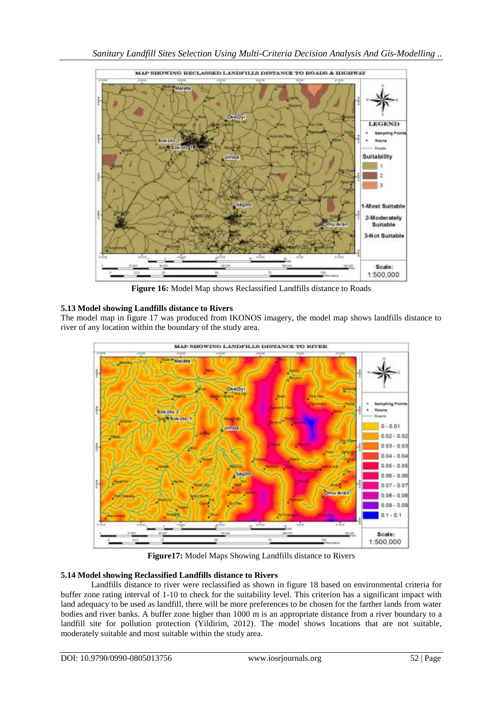

**Figure 16:** Model Map shows Reclassified Landfills distance to Roads

## **5.13 Model showing Landfills distance to Rivers**

The model map in figure 17 was produced from IKONOS imagery, the model map shows landfills distance to river of any location within the boundary of the study area.



**Figure17:** Model Maps Showing Landfills distance to Rivers

## **5.14 Model showing Reclassified Landfills distance to Rivers**

Landfills distance to river were reclassified as shown in figure 18 based on environmental criteria for buffer zone rating interval of 1-10 to check for the suitability level. This criterion has a significant impact with land adequacy to be used as landfill, there will be more preferences to be chosen for the farther lands from water bodies and river banks. A buffer zone higher than 1000 m is an appropriate distance from a river boundary to a landfill site for pollution protection (Yildirim, 2012). The model shows locations that are not suitable, moderately suitable and most suitable within the study area.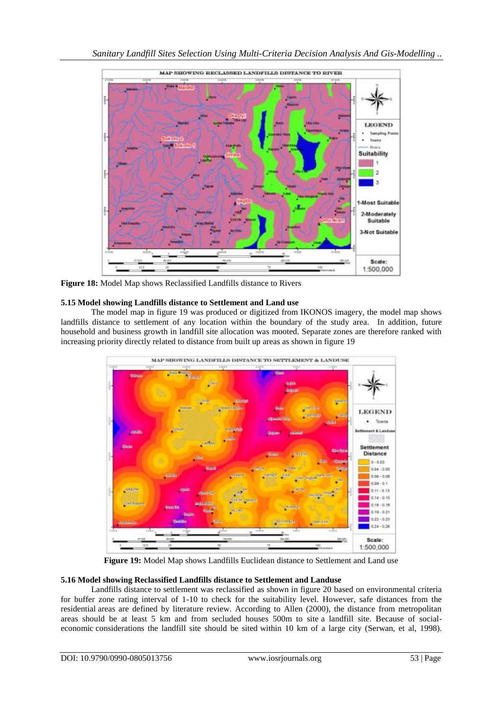

**Figure 18:** Model Map shows Reclassified Landfills distance to Rivers

## **5.15 Model showing Landfills distance to Settlement and Land use**

The model map in figure 19 was produced or digitized from IKONOS imagery, the model map shows landfills distance to settlement of any location within the boundary of the study area. In addition, future household and business growth in landfill site allocation was mooted. Separate zones are therefore ranked with increasing priority directly related to distance from built up areas as shown in figure 19



**Figure 19:** Model Map shows Landfills Euclidean distance to Settlement and Land use

## **5.16 Model showing Reclassified Landfills distance to Settlement and Landuse**

Landfills distance to settlement was reclassified as shown in figure 20 based on environmental criteria for buffer zone rating interval of 1-10 to check for the suitability level. However, safe distances from the residential areas are defined by literature review. According to Allen (2000), the distance from metropolitan areas should be at least 5 km and from secluded houses 500m to site a landfill site. Because of socialeconomic considerations the landfill site should be sited within 10 km of a large city (Serwan, et al, 1998).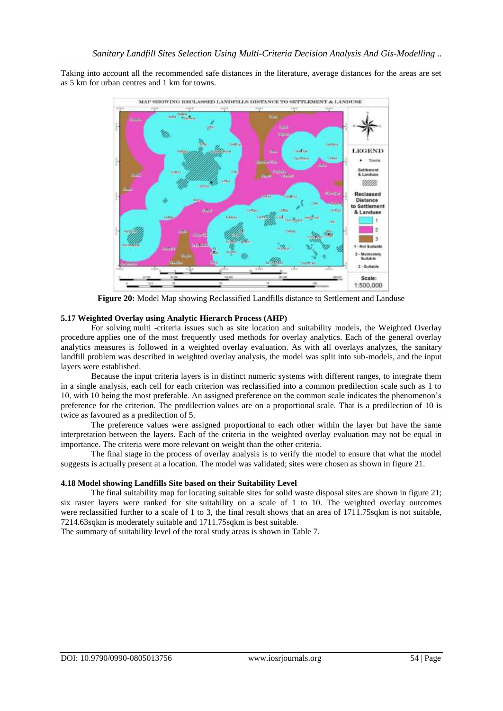Taking into account all the recommended safe distances in the literature, average distances for the areas are set as 5 km for urban centres and 1 km for towns.



**Figure 20:** Model Map showing Reclassified Landfills distance to Settlement and Landuse

### **5.17 Weighted Overlay using Analytic Hierarch Process (AHP)**

For solving multi -criteria issues such as site location and suitability models, the Weighted Overlay procedure applies one of the most frequently used methods for overlay analytics. Each of the general overlay analytics measures is followed in a weighted overlay evaluation. As with all overlays analyzes, the sanitary landfill problem was described in weighted overlay analysis, the model was split into sub-models, and the input layers were established.

Because the input criteria layers is in distinct numeric systems with different ranges, to integrate them in a single analysis, each cell for each criterion was reclassified into a common predilection scale such as 1 to 10, with 10 being the most preferable. An assigned preference on the common scale indicates the phenomenon's preference for the criterion. The predilection values are on a proportional scale. That is a predilection of 10 is twice as favoured as a predilection of 5.

The preference values were assigned proportional to each other within the layer but have the same interpretation between the layers. Each of the criteria in the weighted overlay evaluation may not be equal in importance. The criteria were more relevant on weight than the other criteria.

The final stage in the process of overlay analysis is to verify the model to ensure that what the model suggests is actually present at a location. The model was validated; sites were chosen as shown in figure 21.

#### **4.18 Model showing Landfills Site based on their Suitability Level**

The final suitability map for locating suitable sites for solid waste disposal sites are shown in figure 21; six raster layers were ranked for site suitability on a scale of 1 to 10. The weighted overlay outcomes were reclassified further to a scale of 1 to 3, the final result shows that an area of 1711.75sqkm is not suitable, 7214.63sqkm is moderately suitable and 1711.75sqkm is best suitable.

The summary of suitability level of the total study areas is shown in Table 7.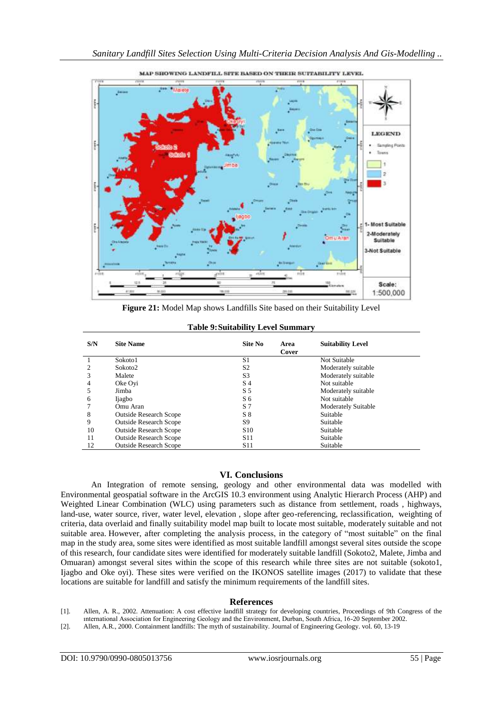

SHOWING LANDFILL SITE BASED ON THEIR SUITABILITY LEVEL

**Figure 21:** Model Map shows Landfills Site based on their Suitability Level

| S/N | <b>Site Name</b>              | Site No         | <b>Suitability Level</b><br>Area<br>Cover |
|-----|-------------------------------|-----------------|-------------------------------------------|
|     | Sokoto1                       | S1              | Not Suitable                              |
|     | Sokoto2                       | S <sub>2</sub>  | Moderately suitable                       |
| 3   | Malete                        | S <sub>3</sub>  | Moderately suitable                       |
|     | Oke Ovi                       | S 4             | Not suitable                              |
| 5   | Jimba                         | S <sub>5</sub>  | Moderately suitable                       |
| 6   | <b>Ijagbo</b>                 | S <sub>6</sub>  | Not suitable                              |
|     | Omu Aran                      | S <sub>7</sub>  | <b>Moderately Suitable</b>                |
| 8   | <b>Outside Research Scope</b> | $S_8$           | Suitable                                  |
| 9   | <b>Outside Research Scope</b> | S <sub>9</sub>  | Suitable                                  |
| 10  | <b>Outside Research Scope</b> | S <sub>10</sub> | Suitable                                  |
| 11  | <b>Outside Research Scope</b> | <b>S11</b>      | Suitable                                  |
| 12  | <b>Outside Research Scope</b> | <b>S</b> 11     | Suitable                                  |

#### **Table 9:Suitability Level Summary**

### **VI. Conclusions**

An Integration of remote sensing, geology and other environmental data was modelled with Environmental geospatial software in the ArcGIS 10.3 environment using Analytic Hierarch Process (AHP) and Weighted Linear Combination (WLC) using parameters such as distance from settlement, roads , highways, land-use, water source, river, water level, elevation , slope after geo-referencing, reclassification, weighting of criteria, data overlaid and finally suitability model map built to locate most suitable, moderately suitable and not suitable area. However, after completing the analysis process, in the category of "most suitable" on the final map in the study area, some sites were identified as most suitable landfill amongst several sites outside the scope of this research, four candidate sites were identified for moderately suitable landfill (Sokoto2, Malete, Jimba and Omuaran) amongst several sites within the scope of this research while three sites are not suitable (sokoto1, Ijagbo and Oke oyi). These sites were verified on the IKONOS satellite images (2017) to validate that these locations are suitable for landfill and satisfy the minimum requirements of the landfill sites.

#### **References**

[1]. Allen, A. R., 2002. Attenuation: A cost effective landfill strategy for developing countries, Proceedings of 9th Congress of the ınternational Association for Engineering Geology and the Environment, Durban, South Africa, 16-20 September 2002.

[2]. Allen, A.R., 2000. Containment landfills: The myth of sustainability. Journal of Engineering Geology. vol. 60, 13-19